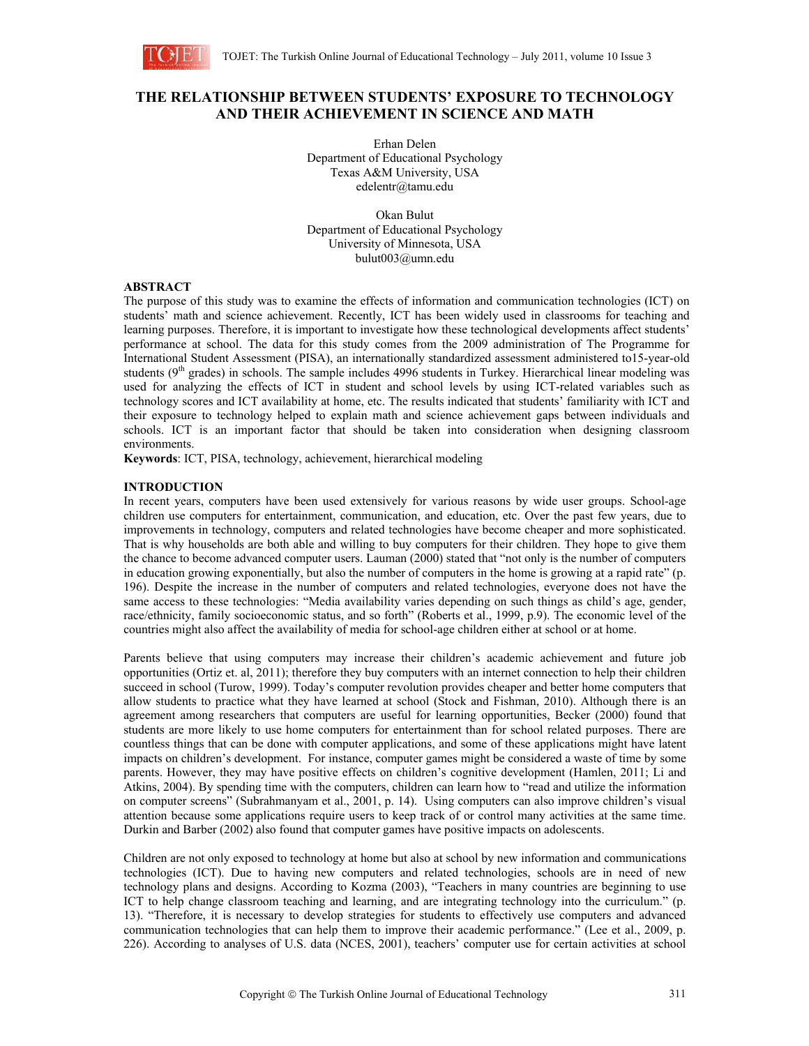

# **THE RELATIONSHIP BETWEEN STUDENTS' EXPOSURE TO TECHNOLOGY AND THEIR ACHIEVEMENT IN SCIENCE AND MATH**

Erhan Delen Department of Educational Psychology Texas A&M University, USA edelentr@tamu.edu

Okan Bulut Department of Educational Psychology University of Minnesota, USA bulut003@umn.edu

## **ABSTRACT**

The purpose of this study was to examine the effects of information and communication technologies (ICT) on students' math and science achievement. Recently, ICT has been widely used in classrooms for teaching and learning purposes. Therefore, it is important to investigate how these technological developments affect students' performance at school. The data for this study comes from the 2009 administration of The Programme for International Student Assessment (PISA), an internationally standardized assessment administered to15-year-old students ( $9<sup>th</sup>$  grades) in schools. The sample includes 4996 students in Turkey. Hierarchical linear modeling was used for analyzing the effects of ICT in student and school levels by using ICT-related variables such as technology scores and ICT availability at home, etc. The results indicated that students' familiarity with ICT and their exposure to technology helped to explain math and science achievement gaps between individuals and schools. ICT is an important factor that should be taken into consideration when designing classroom environments.

**Keywords**: ICT, PISA, technology, achievement, hierarchical modeling

# **INTRODUCTION**

In recent years, computers have been used extensively for various reasons by wide user groups. School-age children use computers for entertainment, communication, and education, etc. Over the past few years, due to improvements in technology, computers and related technologies have become cheaper and more sophisticated. That is why households are both able and willing to buy computers for their children. They hope to give them the chance to become advanced computer users. Lauman (2000) stated that "not only is the number of computers in education growing exponentially, but also the number of computers in the home is growing at a rapid rate" (p. 196). Despite the increase in the number of computers and related technologies, everyone does not have the same access to these technologies: "Media availability varies depending on such things as child's age, gender, race/ethnicity, family socioeconomic status, and so forth" (Roberts et al., 1999, p.9). The economic level of the countries might also affect the availability of media for school-age children either at school or at home.

Parents believe that using computers may increase their children's academic achievement and future job opportunities (Ortiz et. al, 2011); therefore they buy computers with an internet connection to help their children succeed in school (Turow, 1999). Today's computer revolution provides cheaper and better home computers that allow students to practice what they have learned at school (Stock and Fishman, 2010). Although there is an agreement among researchers that computers are useful for learning opportunities, Becker (2000) found that students are more likely to use home computers for entertainment than for school related purposes. There are countless things that can be done with computer applications, and some of these applications might have latent impacts on children's development. For instance, computer games might be considered a waste of time by some parents. However, they may have positive effects on children's cognitive development (Hamlen, 2011; Li and Atkins, 2004). By spending time with the computers, children can learn how to "read and utilize the information on computer screens" (Subrahmanyam et al., 2001, p. 14). Using computers can also improve children's visual attention because some applications require users to keep track of or control many activities at the same time. Durkin and Barber (2002) also found that computer games have positive impacts on adolescents.

Children are not only exposed to technology at home but also at school by new information and communications technologies (ICT). Due to having new computers and related technologies, schools are in need of new technology plans and designs. According to Kozma (2003), "Teachers in many countries are beginning to use ICT to help change classroom teaching and learning, and are integrating technology into the curriculum." (p. 13). "Therefore, it is necessary to develop strategies for students to effectively use computers and advanced communication technologies that can help them to improve their academic performance." (Lee et al., 2009, p. 226). According to analyses of U.S. data (NCES, 2001), teachers' computer use for certain activities at school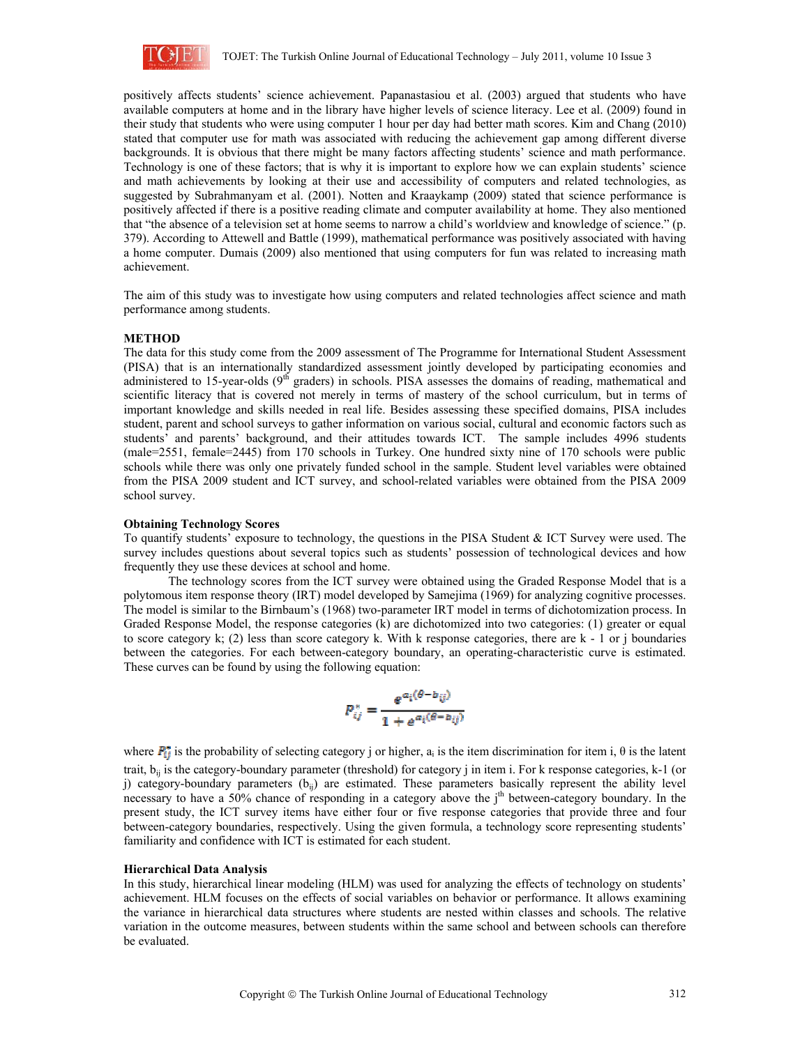

positively affects students' science achievement. Papanastasiou et al. (2003) argued that students who have available computers at home and in the library have higher levels of science literacy. Lee et al. (2009) found in their study that students who were using computer 1 hour per day had better math scores. Kim and Chang (2010) stated that computer use for math was associated with reducing the achievement gap among different diverse backgrounds. It is obvious that there might be many factors affecting students' science and math performance. Technology is one of these factors; that is why it is important to explore how we can explain students' science and math achievements by looking at their use and accessibility of computers and related technologies, as suggested by Subrahmanyam et al. (2001). Notten and Kraaykamp (2009) stated that science performance is positively affected if there is a positive reading climate and computer availability at home. They also mentioned that "the absence of a television set at home seems to narrow a child's worldview and knowledge of science." (p. 379). According to Attewell and Battle (1999), mathematical performance was positively associated with having a home computer. Dumais (2009) also mentioned that using computers for fun was related to increasing math achievement.

The aim of this study was to investigate how using computers and related technologies affect science and math performance among students.

## **METHOD**

The data for this study come from the 2009 assessment of The Programme for International Student Assessment (PISA) that is an internationally standardized assessment jointly developed by participating economies and administered to 15-year-olds  $(9<sup>th</sup>$  graders) in schools. PISA assesses the domains of reading, mathematical and scientific literacy that is covered not merely in terms of mastery of the school curriculum, but in terms of important knowledge and skills needed in real life. Besides assessing these specified domains, PISA includes student, parent and school surveys to gather information on various social, cultural and economic factors such as students' and parents' background, and their attitudes towards ICT. The sample includes 4996 students (male=2551, female=2445) from 170 schools in Turkey. One hundred sixty nine of 170 schools were public schools while there was only one privately funded school in the sample. Student level variables were obtained from the PISA 2009 student and ICT survey, and school-related variables were obtained from the PISA 2009 school survey.

#### **Obtaining Technology Scores**

To quantify students' exposure to technology, the questions in the PISA Student & ICT Survey were used. The survey includes questions about several topics such as students' possession of technological devices and how frequently they use these devices at school and home.

The technology scores from the ICT survey were obtained using the Graded Response Model that is a polytomous item response theory (IRT) model developed by Samejima (1969) for analyzing cognitive processes. The model is similar to the Birnbaum's (1968) two-parameter IRT model in terms of dichotomization process. In Graded Response Model, the response categories (k) are dichotomized into two categories: (1) greater or equal to score category k; (2) less than score category k. With k response categories, there are  $k - 1$  or j boundaries between the categories. For each between-category boundary, an operating-characteristic curve is estimated. These curves can be found by using the following equation:

$$
P_{ij}^* = \frac{e^{a_i(\theta - b_{ij})}}{1 + e^{a_i(\theta - b_{ij})}}
$$

where  $\mathbf{P}_{\text{if}}^*$  is the probability of selecting category j or higher, a<sub>i</sub> is the item discrimination for item i,  $\theta$  is the latent trait,  $b_{ij}$  is the category-boundary parameter (threshold) for category j in item i. For k response categories, k-1 (or j) category-boundary parameters  $(b_{ii})$  are estimated. These parameters basically represent the ability level necessary to have a 50% chance of responding in a category above the  $i<sup>th</sup>$  between-category boundary. In the present study, the ICT survey items have either four or five response categories that provide three and four between-category boundaries, respectively. Using the given formula, a technology score representing students' familiarity and confidence with ICT is estimated for each student.

#### **Hierarchical Data Analysis**

In this study, hierarchical linear modeling (HLM) was used for analyzing the effects of technology on students' achievement. HLM focuses on the effects of social variables on behavior or performance. It allows examining the variance in hierarchical data structures where students are nested within classes and schools. The relative variation in the outcome measures, between students within the same school and between schools can therefore be evaluated.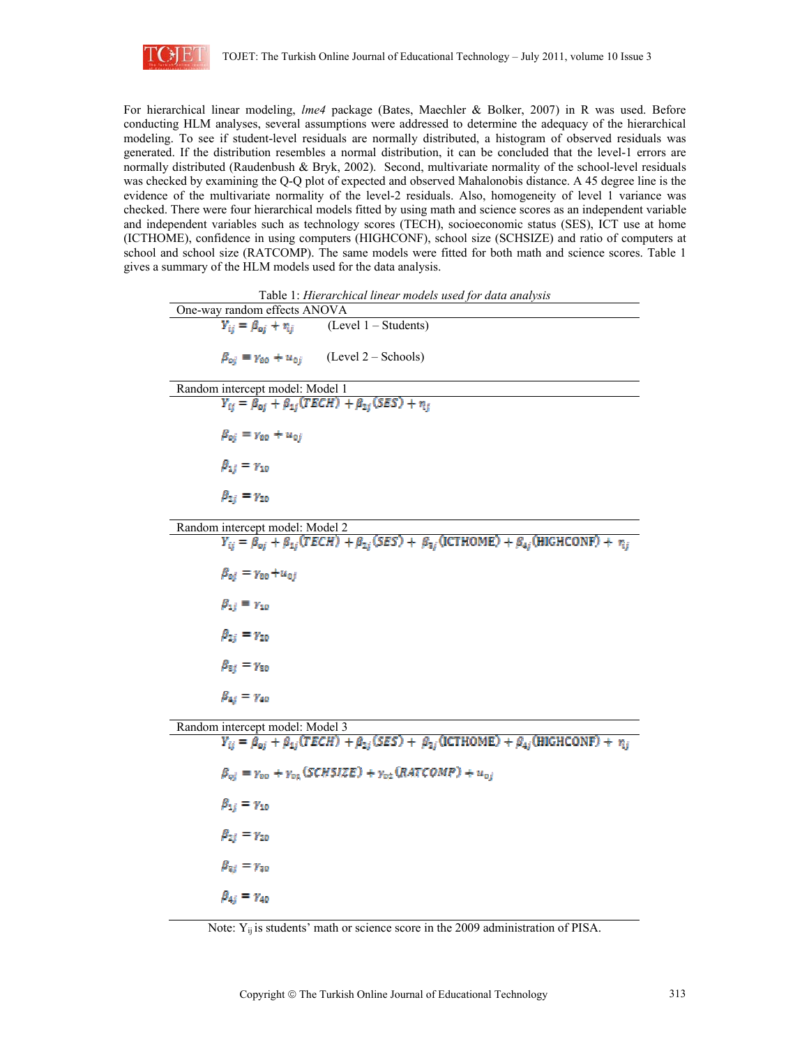

For hierarchical linear modeling, *lme4* package (Bates, Maechler & Bolker, 2007) in R was used. Before conducting HLM analyses, several assumptions were addressed to determine the adequacy of the hierarchical modeling. To see if student-level residuals are normally distributed, a histogram of observed residuals was generated. If the distribution resembles a normal distribution, it can be concluded that the level-1 errors are normally distributed (Raudenbush & Bryk, 2002). Second, multivariate normality of the school-level residuals was checked by examining the Q-Q plot of expected and observed Mahalonobis distance. A 45 degree line is the evidence of the multivariate normality of the level-2 residuals. Also, homogeneity of level 1 variance was checked. There were four hierarchical models fitted by using math and science scores as an independent variable and independent variables such as technology scores (TECH), socioeconomic status (SES), ICT use at home (ICTHOME), confidence in using computers (HIGHCONF), school size (SCHSIZE) and ratio of computers at school and school size (RATCOMP). The same models were fitted for both math and science scores. Table 1 gives a summary of the HLM models used for the data analysis.

| Table 1: Hierarchical linear models used for data analysis                                                                                                   |  |  |  |  |  |  |  |  |
|--------------------------------------------------------------------------------------------------------------------------------------------------------------|--|--|--|--|--|--|--|--|
| One-way random effects ANOVA                                                                                                                                 |  |  |  |  |  |  |  |  |
| $(Level 1 - Students)$<br>$Y_{ij} = \beta_{ai} + \eta_{ji}$                                                                                                  |  |  |  |  |  |  |  |  |
| $\beta_{oj}$ = $\gamma_{00}$ + $u_{oj}$ (Level 2 – Schools)                                                                                                  |  |  |  |  |  |  |  |  |
| Random intercept model: Model 1                                                                                                                              |  |  |  |  |  |  |  |  |
| $Y_{ij} = \hat{\beta}_{0i} + \beta_{1i}(TECH) + \beta_{2i}(SES) + \eta_{i}$                                                                                  |  |  |  |  |  |  |  |  |
| $\beta_{oj} = \gamma_{ab} + u_{oj}$                                                                                                                          |  |  |  |  |  |  |  |  |
| $\beta_{2j} = \gamma_{10}$                                                                                                                                   |  |  |  |  |  |  |  |  |
| $\beta_{2i} = \gamma_{20}$                                                                                                                                   |  |  |  |  |  |  |  |  |
| Random intercept model: Model 2                                                                                                                              |  |  |  |  |  |  |  |  |
| $Y_{ij} = \hat{\beta}_{oj} + \beta_{ij}(TECH) + \beta_{2j}(SES) + \beta_{3j}(ICTHOME) + \beta_{4j}(HIGHCONE) + \eta_{ij}$                                    |  |  |  |  |  |  |  |  |
| $\beta_{oj} = \gamma_{00} + u_{oj}$                                                                                                                          |  |  |  |  |  |  |  |  |
| $\beta_{2j} \equiv \gamma_{10}$                                                                                                                              |  |  |  |  |  |  |  |  |
| $\beta_{2i} = \gamma_{20}$                                                                                                                                   |  |  |  |  |  |  |  |  |
| $\beta_{2j} = \gamma_{20}$                                                                                                                                   |  |  |  |  |  |  |  |  |
| $\beta_{aj} = \gamma_{ao}$                                                                                                                                   |  |  |  |  |  |  |  |  |
|                                                                                                                                                              |  |  |  |  |  |  |  |  |
| Random intercept model: Model 3<br>$Y_{ij} = \hat{\beta}_{oj} + \beta_{1j}(TECH) + \beta_{2j}(SES) + \beta_{2j}(ICTHOME) + \beta_{4j}(HIGHCONE) + \eta_{ij}$ |  |  |  |  |  |  |  |  |
| $\beta_{oi} = Y_{00} + Y_{01} (SCHSIZE) + Y_{02} (RATCOMP) + u_{0i}$                                                                                         |  |  |  |  |  |  |  |  |
| $\beta_{1j} = \gamma_{10}$                                                                                                                                   |  |  |  |  |  |  |  |  |
| $\beta_{2j} = \gamma_{20}$                                                                                                                                   |  |  |  |  |  |  |  |  |
| $\beta_{ij} = \gamma_{ij}$                                                                                                                                   |  |  |  |  |  |  |  |  |
| $\beta_{4j} = \gamma_{40}$                                                                                                                                   |  |  |  |  |  |  |  |  |

Note:  $Y_{ij}$  is students' math or science score in the 2009 administration of PISA.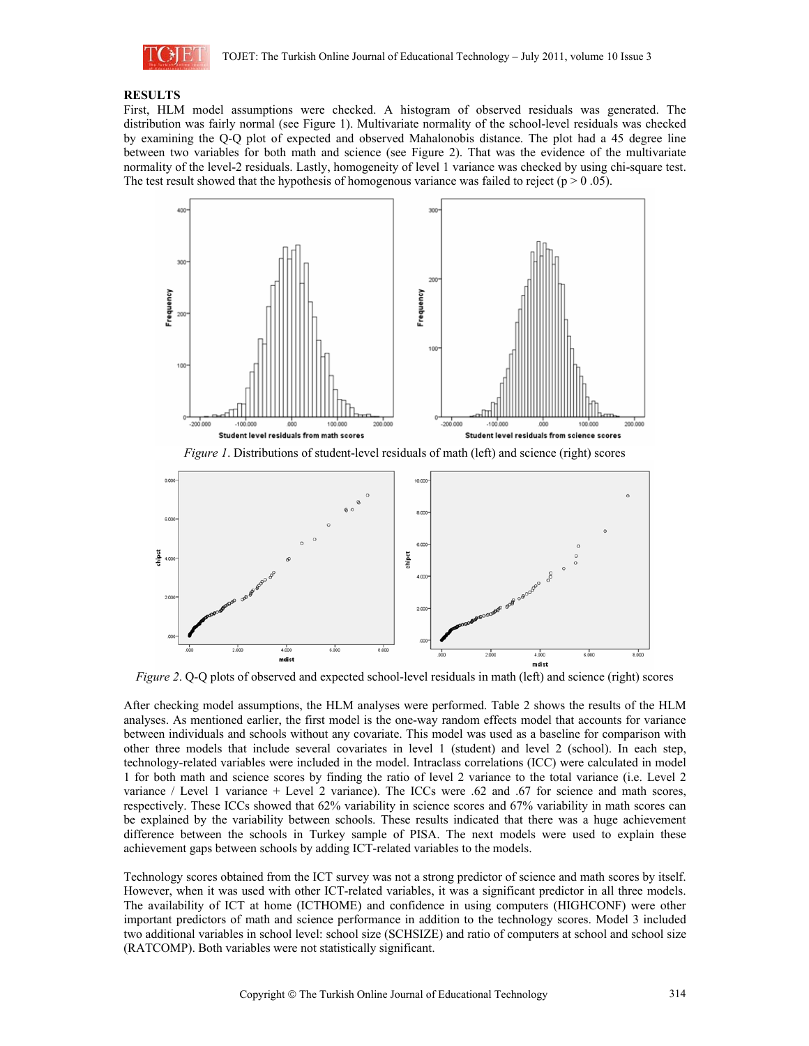

# **RESULTS**

First, HLM model assumptions were checked. A histogram of observed residuals was generated. The distribution was fairly normal (see Figure 1). Multivariate normality of the school-level residuals was checked by examining the Q-Q plot of expected and observed Mahalonobis distance. The plot had a 45 degree line between two variables for both math and science (see Figure 2). That was the evidence of the multivariate normality of the level-2 residuals. Lastly, homogeneity of level 1 variance was checked by using chi-square test. The test result showed that the hypothesis of homogenous variance was failed to reject ( $p > 0.05$ ).



*Figure 2.* Q-Q plots of observed and expected school-level residuals in math (left) and science (right) scores

After checking model assumptions, the HLM analyses were performed. Table 2 shows the results of the HLM analyses. As mentioned earlier, the first model is the one-way random effects model that accounts for variance between individuals and schools without any covariate. This model was used as a baseline for comparison with other three models that include several covariates in level 1 (student) and level 2 (school). In each step, technology-related variables were included in the model. Intraclass correlations (ICC) were calculated in model 1 for both math and science scores by finding the ratio of level 2 variance to the total variance (i.e. Level 2 variance / Level 1 variance + Level 2 variance). The ICCs were .62 and .67 for science and math scores, respectively. These ICCs showed that 62% variability in science scores and 67% variability in math scores can be explained by the variability between schools. These results indicated that there was a huge achievement difference between the schools in Turkey sample of PISA. The next models were used to explain these achievement gaps between schools by adding ICT-related variables to the models.

Technology scores obtained from the ICT survey was not a strong predictor of science and math scores by itself. However, when it was used with other ICT-related variables, it was a significant predictor in all three models. The availability of ICT at home (ICTHOME) and confidence in using computers (HIGHCONF) were other important predictors of math and science performance in addition to the technology scores. Model 3 included two additional variables in school level: school size (SCHSIZE) and ratio of computers at school and school size (RATCOMP). Both variables were not statistically significant.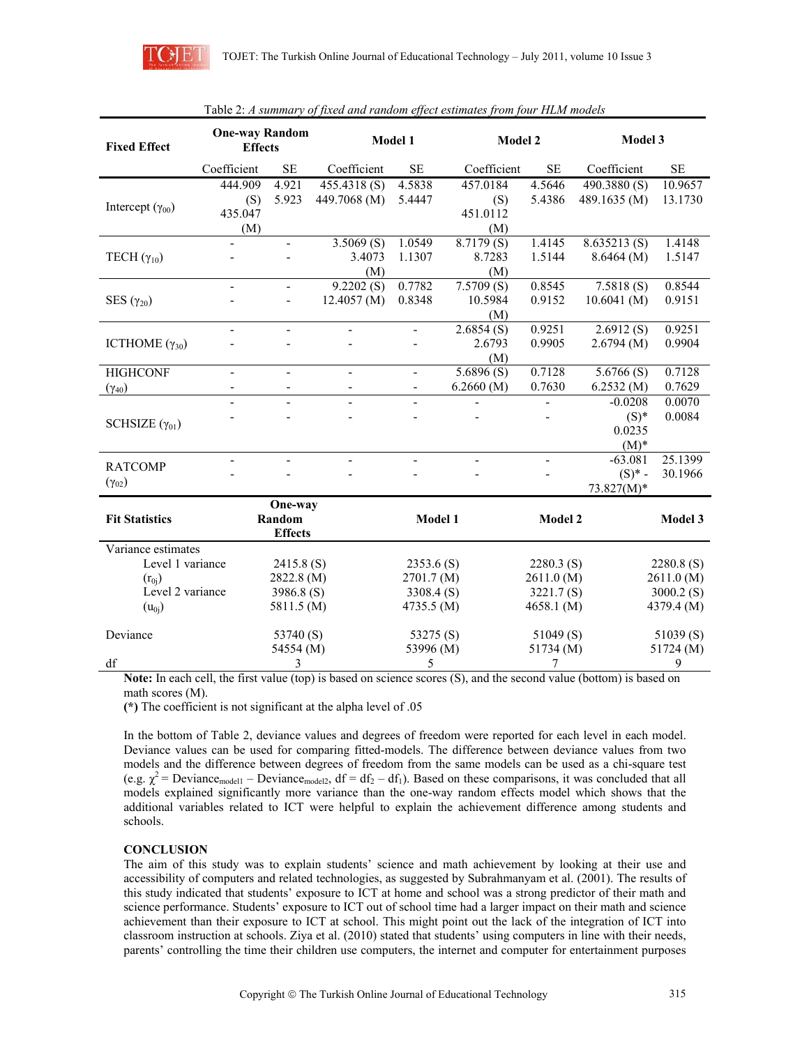

| <b>Fixed Effect</b>       | <b>One-way Random</b><br><b>Effects</b> |                          | Model 1                 |                          | Model 2        |                          | Model 3        |            |
|---------------------------|-----------------------------------------|--------------------------|-------------------------|--------------------------|----------------|--------------------------|----------------|------------|
|                           | Coefficient                             | <b>SE</b>                | Coefficient             | <b>SE</b>                | Coefficient    | $\rm SE$                 | Coefficient    | $\rm SE$   |
|                           | 444.909                                 | 4.921                    | 455.4318(S)             | 4.5838                   | 457.0184       | 4.5646                   | 490.3880(S)    | 10.9657    |
| Intercept $(\gamma_{00})$ | (S)                                     | 5.923                    | 449.7068 (M)            | 5.4447                   | (S)            | 5.4386                   | 489.1635 (M)   | 13.1730    |
|                           | 435.047                                 |                          |                         |                          | 451.0112       |                          |                |            |
|                           | (M)                                     |                          |                         |                          | (M)            |                          |                |            |
|                           |                                         | $\overline{a}$           | 3.5069(S)               | 1.0549                   | 8.7179(S)      | 1.4145                   | 8.635213(S)    | 1.4148     |
| TECH $(\gamma_{10})$      |                                         |                          | 3.4073                  | 1.1307                   | 8.7283         | 1.5144                   | 8.6464(M)      | 1.5147     |
|                           |                                         |                          | (M)                     |                          | (M)            |                          |                |            |
|                           |                                         | $\blacksquare$           | $\overline{9.2202}$ (S) | 0.7782                   | 7.5709(S)      | 0.8545                   | 7.5818(S)      | 0.8544     |
| SES $(\gamma_{20})$       |                                         | $\overline{a}$           | 12.4057(M)              | 0.8348                   | 10.5984        | 0.9152                   | 10.6041(M)     | 0.9151     |
|                           |                                         |                          |                         |                          | (M)            |                          |                |            |
|                           | $\blacksquare$                          | $\blacksquare$           | $\blacksquare$          | $\blacksquare$           | 2.6854(S)      | 0.9251                   | 2.6912(S)      | 0.9251     |
| ICTHOME $(\gamma_{30})$   |                                         |                          |                         |                          | 2.6793         | 0.9905                   | 2.6794(M)      | 0.9904     |
|                           |                                         |                          |                         |                          | (M)            |                          |                |            |
| <b>HIGHCONF</b>           | $\overline{\phantom{a}}$                | $\overline{\phantom{a}}$ | $\blacksquare$          | $\blacksquare$           | 5.6896 $(S)$   | 0.7128                   | 5.6766 $(S)$   | 0.7128     |
| $(\gamma_{40})$           | $\overline{\phantom{a}}$                | $\overline{\phantom{a}}$ |                         | $\overline{\phantom{a}}$ | 6.2660(M)      | 0.7630                   | 6.2532(M)      | 0.7629     |
|                           | $\overline{a}$                          | $\blacksquare$           | $\mathbf{r}$            | $\blacksquare$           | $\blacksquare$ |                          | $-0.0208$      | 0.0070     |
| SCHSIZE $(\gamma_{01})$   |                                         |                          |                         | $\blacksquare$           |                |                          | $(S)^*$        | 0.0084     |
|                           |                                         |                          |                         |                          |                |                          | 0.0235         |            |
|                           |                                         |                          |                         |                          |                |                          | $(M)^*$        |            |
| <b>RATCOMP</b>            | $\blacksquare$                          | $\overline{\phantom{a}}$ | $\blacksquare$          | $\blacksquare$           | $\blacksquare$ | $\overline{\phantom{0}}$ | $-63.081$      | 25.1399    |
| $(\gamma_{02})$           |                                         |                          |                         |                          |                |                          | $(S)^*$ -      | 30.1966    |
|                           |                                         |                          |                         |                          |                |                          | $73.827(M)^*$  |            |
|                           |                                         | One-way                  |                         |                          |                |                          |                |            |
| <b>Fit Statistics</b>     |                                         | Random<br><b>Effects</b> |                         | Model 1                  |                | Model 2                  |                | Model 3    |
| Variance estimates        |                                         |                          |                         |                          |                |                          |                |            |
| Level 1 variance          |                                         | 2415.8(S)                |                         | 2353.6(S)                |                | 2280.3(S)                |                | 2280.8(S)  |
| $(r_{0i})$                |                                         | 2822.8 (M)               |                         | 2701.7(M)                |                | 2611.0(M)                | $2611.0 \,(M)$ |            |
| Level 2 variance          |                                         | 3986.8 (S)               |                         | 3308.4 (S)               |                | 3221.7(S)                | 3000.2(S)      |            |
| $(u_{0i})$                |                                         | 5811.5 (M)               |                         | 4735.5 (M)               |                | 4658.1 $(M)$             |                | 4379.4 (M) |
|                           |                                         |                          |                         |                          |                |                          |                |            |
| Deviance                  |                                         | 53740 (S)                |                         | 53275 (S)                |                | 51049(S)                 |                | 51039(S)   |
|                           |                                         | 54554 (M)                |                         | 53996 (M)                |                | 51734 (M)                |                | 51724 (M)  |
| df                        |                                         | 3                        |                         | 5                        |                | 7                        |                | 9          |

**Note:** In each cell, the first value (top) is based on science scores (S), and the second value (bottom) is based on math scores (M).

**(\*)** The coefficient is not significant at the alpha level of .05

In the bottom of Table 2, deviance values and degrees of freedom were reported for each level in each model. Deviance values can be used for comparing fitted-models. The difference between deviance values from two models and the difference between degrees of freedom from the same models can be used as a chi-square test (e.g.  $\chi^2$  = Deviance<sub>model1</sub> – Deviance<sub>model2</sub>, df = df<sub>2</sub> – df<sub>1</sub>). Based on these comparisons, it was concluded that all models explained significantly more variance than the one-way random effects model which shows that the additional variables related to ICT were helpful to explain the achievement difference among students and schools.

## **CONCLUSION**

The aim of this study was to explain students' science and math achievement by looking at their use and accessibility of computers and related technologies, as suggested by Subrahmanyam et al. (2001). The results of this study indicated that students' exposure to ICT at home and school was a strong predictor of their math and science performance. Students' exposure to ICT out of school time had a larger impact on their math and science achievement than their exposure to ICT at school. This might point out the lack of the integration of ICT into classroom instruction at schools. Ziya et al. (2010) stated that students' using computers in line with their needs, parents' controlling the time their children use computers, the internet and computer for entertainment purposes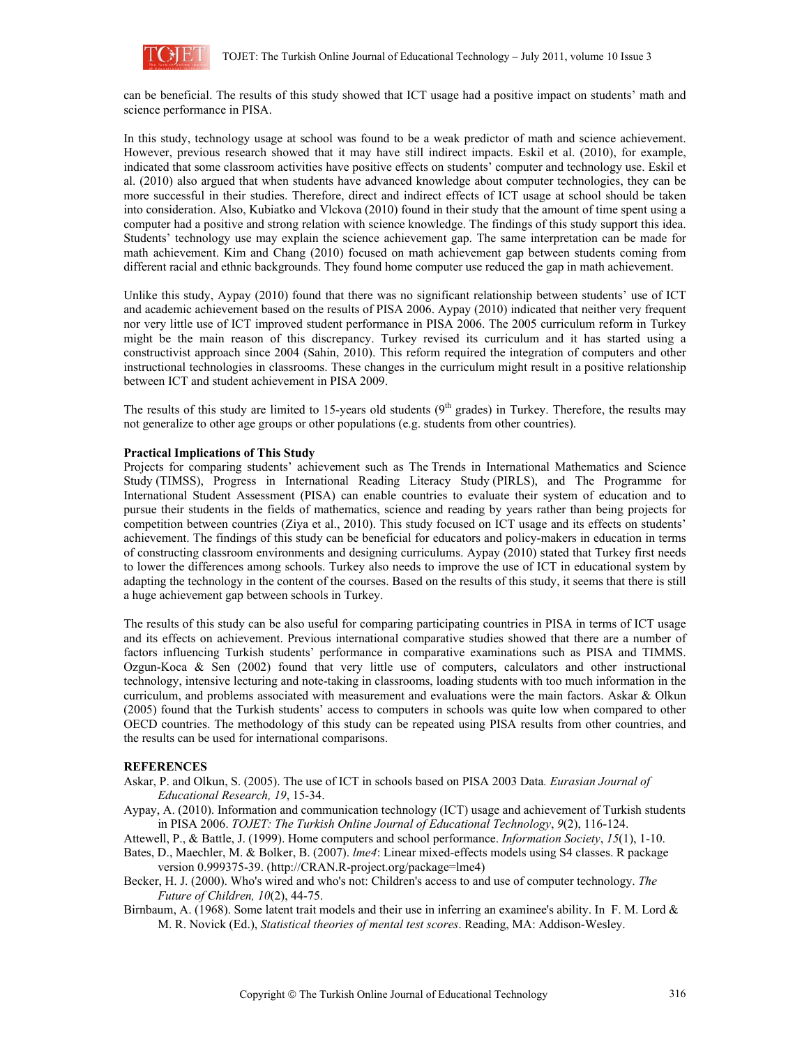

can be beneficial. The results of this study showed that ICT usage had a positive impact on students' math and science performance in PISA.

In this study, technology usage at school was found to be a weak predictor of math and science achievement. However, previous research showed that it may have still indirect impacts. Eskil et al. (2010), for example, indicated that some classroom activities have positive effects on students' computer and technology use. Eskil et al. (2010) also argued that when students have advanced knowledge about computer technologies, they can be more successful in their studies. Therefore, direct and indirect effects of ICT usage at school should be taken into consideration. Also, Kubiatko and Vlckova (2010) found in their study that the amount of time spent using a computer had a positive and strong relation with science knowledge. The findings of this study support this idea. Students' technology use may explain the science achievement gap. The same interpretation can be made for math achievement. Kim and Chang (2010) focused on math achievement gap between students coming from different racial and ethnic backgrounds. They found home computer use reduced the gap in math achievement.

Unlike this study, Aypay (2010) found that there was no significant relationship between students' use of ICT and academic achievement based on the results of PISA 2006. Aypay (2010) indicated that neither very frequent nor very little use of ICT improved student performance in PISA 2006. The 2005 curriculum reform in Turkey might be the main reason of this discrepancy. Turkey revised its curriculum and it has started using a constructivist approach since 2004 (Sahin, 2010). This reform required the integration of computers and other instructional technologies in classrooms. These changes in the curriculum might result in a positive relationship between ICT and student achievement in PISA 2009.

The results of this study are limited to 15-years old students  $(9<sup>th</sup>$  grades) in Turkey. Therefore, the results may not generalize to other age groups or other populations (e.g. students from other countries).

#### **Practical Implications of This Study**

Projects for comparing students' achievement such as The Trends in International Mathematics and Science Study (TIMSS), Progress in International Reading Literacy Study (PIRLS), and The Programme for International Student Assessment (PISA) can enable countries to evaluate their system of education and to pursue their students in the fields of mathematics, science and reading by years rather than being projects for competition between countries (Ziya et al., 2010). This study focused on ICT usage and its effects on students' achievement. The findings of this study can be beneficial for educators and policy-makers in education in terms of constructing classroom environments and designing curriculums. Aypay (2010) stated that Turkey first needs to lower the differences among schools. Turkey also needs to improve the use of ICT in educational system by adapting the technology in the content of the courses. Based on the results of this study, it seems that there is still a huge achievement gap between schools in Turkey.

The results of this study can be also useful for comparing participating countries in PISA in terms of ICT usage and its effects on achievement. Previous international comparative studies showed that there are a number of factors influencing Turkish students' performance in comparative examinations such as PISA and TIMMS. Ozgun-Koca & Sen (2002) found that very little use of computers, calculators and other instructional technology, intensive lecturing and note-taking in classrooms, loading students with too much information in the curriculum, and problems associated with measurement and evaluations were the main factors. Askar & Olkun (2005) found that the Turkish students' access to computers in schools was quite low when compared to other OECD countries. The methodology of this study can be repeated using PISA results from other countries, and the results can be used for international comparisons.

#### **REFERENCES**

- Askar, P. and Olkun, S. (2005). The use of ICT in schools based on PISA 2003 Data*. Eurasian Journal of Educational Research, 19*, 15-34.
- Aypay, A. (2010). Information and communication technology (ICT) usage and achievement of Turkish students in PISA 2006. *TOJET: The Turkish Online Journal of Educational Technology*, *9*(2), 116-124.

Attewell, P., & Battle, J. (1999). Home computers and school performance. *Information Society*, *15*(1), 1-10.

- Bates, D., Maechler, M. & Bolker, B. (2007). *lme4*: Linear mixed-effects models using S4 classes. R package version 0.999375-39. (http://CRAN.R-project.org/package=lme4)
- Becker, H. J. (2000). Who's wired and who's not: Children's access to and use of computer technology. *The Future of Children, 10*(2), 44-75.
- Birnbaum, A. (1968). Some latent trait models and their use in inferring an examinee's ability. In F. M. Lord & M. R. Novick (Ed.), *Statistical theories of mental test scores*. Reading, MA: Addison-Wesley.